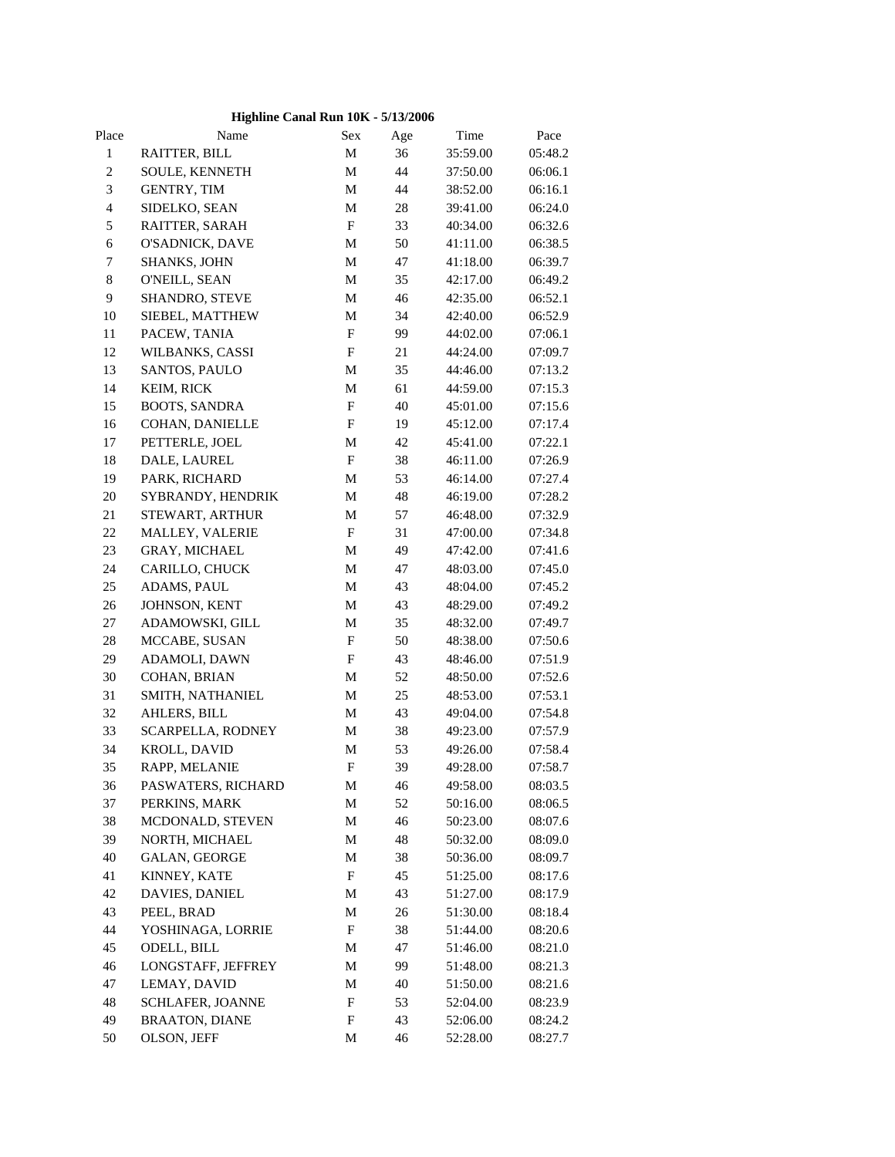## **Highline Canal Run 10K - 5/13/2006**

| Place          | Name                  | Sex                       | Age | Time     | Pace    |  |
|----------------|-----------------------|---------------------------|-----|----------|---------|--|
| $\mathbf 1$    | RAITTER, BILL         | M                         | 36  | 35:59.00 | 05:48.2 |  |
| $\overline{c}$ | SOULE, KENNETH        | M                         | 44  | 37:50.00 | 06:06.1 |  |
| $\mathfrak 3$  | <b>GENTRY, TIM</b>    | M                         | 44  | 38:52.00 | 06:16.1 |  |
| $\overline{4}$ | SIDELKO, SEAN         | $\mathbf M$               | 28  | 39:41.00 | 06:24.0 |  |
| $\sqrt{5}$     | RAITTER, SARAH        | $\mathbf F$               | 33  | 40:34.00 | 06:32.6 |  |
| $\sqrt{6}$     | O'SADNICK, DAVE       | M                         | 50  | 41:11.00 | 06:38.5 |  |
| 7              | SHANKS, JOHN          | M                         | 47  | 41:18.00 | 06:39.7 |  |
| $\,8\,$        | O'NEILL, SEAN         | M                         | 35  | 42:17.00 | 06:49.2 |  |
| $\overline{9}$ | SHANDRO, STEVE        | M                         | 46  | 42:35.00 | 06:52.1 |  |
| 10             | SIEBEL, MATTHEW       | M                         | 34  | 42:40.00 | 06:52.9 |  |
| 11             | PACEW, TANIA          | $\boldsymbol{\mathrm{F}}$ | 99  | 44:02.00 | 07:06.1 |  |
| 12             | WILBANKS, CASSI       | F                         | 21  | 44:24.00 | 07:09.7 |  |
| 13             | SANTOS, PAULO         | M                         | 35  | 44:46.00 | 07:13.2 |  |
| 14             | KEIM, RICK            | M                         | 61  | 44:59.00 | 07:15.3 |  |
| 15             | <b>BOOTS, SANDRA</b>  | $\boldsymbol{\mathrm{F}}$ | 40  | 45:01.00 | 07:15.6 |  |
| 16             | COHAN, DANIELLE       | $\boldsymbol{\mathrm{F}}$ | 19  | 45:12.00 | 07:17.4 |  |
| 17             | PETTERLE, JOEL        | M                         | 42  | 45:41.00 | 07:22.1 |  |
| 18             | DALE, LAUREL          | $\boldsymbol{\mathrm{F}}$ | 38  | 46:11.00 | 07:26.9 |  |
| 19             | PARK, RICHARD         | M                         | 53  | 46:14.00 | 07:27.4 |  |
| $20\,$         | SYBRANDY, HENDRIK     | M                         | 48  | 46:19.00 | 07:28.2 |  |
| 21             | STEWART, ARTHUR       | M                         | 57  | 46:48.00 | 07:32.9 |  |
| 22             | MALLEY, VALERIE       | $\mathbf F$               | 31  | 47:00.00 | 07:34.8 |  |
| 23             | GRAY, MICHAEL         | M                         | 49  | 47:42.00 | 07:41.6 |  |
| 24             | CARILLO, CHUCK        | M                         | 47  | 48:03.00 | 07:45.0 |  |
| 25             | ADAMS, PAUL           | M                         | 43  | 48:04.00 | 07:45.2 |  |
| $26\,$         | JOHNSON, KENT         | M                         | 43  | 48:29.00 | 07:49.2 |  |
| 27             | ADAMOWSKI, GILL       | M                         | 35  | 48:32.00 | 07:49.7 |  |
| $28\,$         | MCCABE, SUSAN         | $\boldsymbol{\mathrm{F}}$ | 50  | 48:38.00 | 07:50.6 |  |
| 29             | ADAMOLI, DAWN         | F                         | 43  | 48:46.00 | 07:51.9 |  |
| 30             | COHAN, BRIAN          | M                         | 52  | 48:50.00 | 07:52.6 |  |
| 31             | SMITH, NATHANIEL      | M                         | 25  | 48:53.00 | 07:53.1 |  |
| 32             | AHLERS, BILL          | M                         | 43  | 49:04.00 | 07:54.8 |  |
| 33             | SCARPELLA, RODNEY     | M                         | 38  | 49:23.00 | 07:57.9 |  |
| 34             | KROLL, DAVID          | M                         | 53  | 49:26.00 | 07:58.4 |  |
| 35             | RAPP, MELANIE         | ${\rm F}$                 | 39  | 49:28.00 | 07:58.7 |  |
| 36             | PASWATERS, RICHARD    | M                         | 46  | 49:58.00 | 08:03.5 |  |
| 37             | PERKINS, MARK         | M                         | 52  | 50:16.00 | 08:06.5 |  |
| 38             | MCDONALD, STEVEN      | M                         | 46  | 50:23.00 | 08:07.6 |  |
| 39             | NORTH, MICHAEL        | M                         | 48  | 50:32.00 | 08:09.0 |  |
| 40             | <b>GALAN, GEORGE</b>  | M                         | 38  | 50:36.00 | 08:09.7 |  |
| 41             | KINNEY, KATE          | F                         | 45  | 51:25.00 | 08:17.6 |  |
| 42             | DAVIES, DANIEL        | M                         | 43  | 51:27.00 | 08:17.9 |  |
| 43             | PEEL, BRAD            | M                         | 26  | 51:30.00 | 08:18.4 |  |
| 44             | YOSHINAGA, LORRIE     | F                         | 38  | 51:44.00 | 08:20.6 |  |
| 45             | ODELL, BILL           | M                         | 47  | 51:46.00 | 08:21.0 |  |
| 46             | LONGSTAFF, JEFFREY    | M                         | 99  | 51:48.00 | 08:21.3 |  |
| 47             | LEMAY, DAVID          | M                         | 40  | 51:50.00 | 08:21.6 |  |
| 48             | SCHLAFER, JOANNE      | F                         | 53  | 52:04.00 | 08:23.9 |  |
| 49             | <b>BRAATON, DIANE</b> | F                         | 43  | 52:06.00 | 08:24.2 |  |
| 50             | OLSON, JEFF           | M                         | 46  | 52:28.00 | 08:27.7 |  |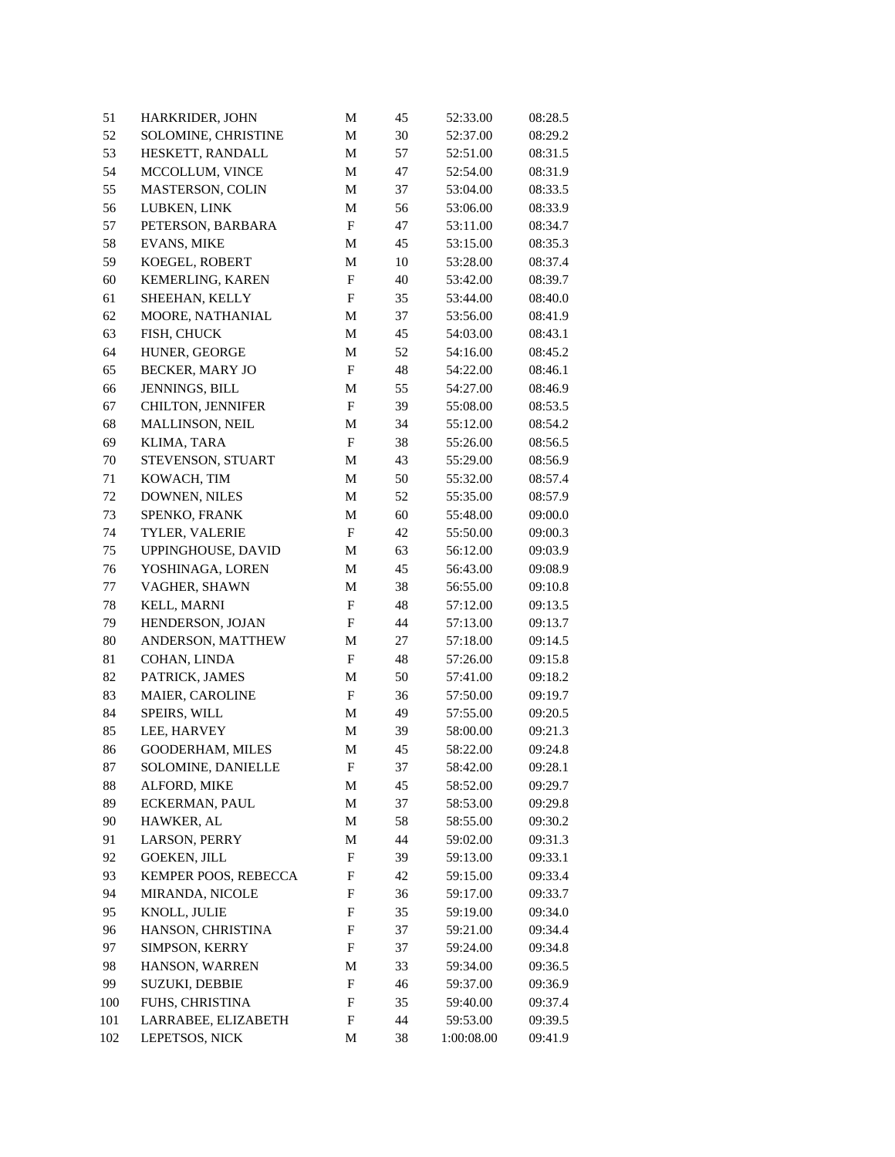| 51     | HARKRIDER, JOHN       | M                         | 45 | 52:33.00   | 08:28.5 |
|--------|-----------------------|---------------------------|----|------------|---------|
| 52     | SOLOMINE, CHRISTINE   | $\mathbf M$               | 30 | 52:37.00   | 08:29.2 |
| 53     | HESKETT, RANDALL      | M                         | 57 | 52:51.00   | 08:31.5 |
| 54     | MCCOLLUM, VINCE       | M                         | 47 | 52:54.00   | 08:31.9 |
| 55     | MASTERSON, COLIN      | M                         | 37 | 53:04.00   | 08:33.5 |
| 56     | LUBKEN, LINK          | M                         | 56 | 53:06.00   | 08:33.9 |
| 57     | PETERSON, BARBARA     | $\mathbf F$               | 47 | 53:11.00   | 08:34.7 |
| 58     | <b>EVANS, MIKE</b>    | M                         | 45 | 53:15.00   | 08:35.3 |
| 59     | KOEGEL, ROBERT        | M                         | 10 | 53:28.00   | 08:37.4 |
| 60     | KEMERLING, KAREN      | $_{\rm F}$                | 40 | 53:42.00   | 08:39.7 |
| 61     | SHEEHAN, KELLY        | $_{\rm F}$                | 35 | 53:44.00   | 08:40.0 |
| 62     | MOORE, NATHANIAL      | M                         | 37 | 53:56.00   | 08:41.9 |
| 63     | FISH, CHUCK           | M                         | 45 | 54:03.00   | 08:43.1 |
| 64     | HUNER, GEORGE         | M                         | 52 | 54:16.00   | 08:45.2 |
| 65     | BECKER, MARY JO       | $\mathbf F$               | 48 | 54:22.00   | 08:46.1 |
| 66     | JENNINGS, BILL        | M                         | 55 | 54:27.00   | 08:46.9 |
| 67     | CHILTON, JENNIFER     | $\mathbf F$               | 39 | 55:08.00   | 08:53.5 |
| 68     | MALLINSON, NEIL       | M                         | 34 | 55:12.00   | 08:54.2 |
| 69     | KLIMA, TARA           | $\boldsymbol{\mathrm{F}}$ | 38 | 55:26.00   | 08:56.5 |
| 70     | STEVENSON, STUART     | M                         | 43 | 55:29.00   | 08:56.9 |
| 71     | KOWACH, TIM           | M                         | 50 | 55:32.00   | 08:57.4 |
| 72     | DOWNEN, NILES         | M                         | 52 | 55:35.00   | 08:57.9 |
| 73     | SPENKO, FRANK         | M                         | 60 | 55:48.00   | 09:00.0 |
| 74     | TYLER, VALERIE        | F                         | 42 | 55:50.00   | 09:00.3 |
| 75     | UPPINGHOUSE, DAVID    | M                         | 63 | 56:12.00   | 09:03.9 |
| 76     | YOSHINAGA, LOREN      | M                         | 45 | 56:43.00   | 09:08.9 |
| 77     | VAGHER, SHAWN         | M                         | 38 | 56:55.00   | 09:10.8 |
| 78     | KELL, MARNI           | F                         | 48 | 57:12.00   | 09:13.5 |
| 79     | HENDERSON, JOJAN      | F                         | 44 | 57:13.00   | 09:13.7 |
| $80\,$ | ANDERSON, MATTHEW     | M                         | 27 | 57:18.00   | 09:14.5 |
| 81     | COHAN, LINDA          | F                         | 48 | 57:26.00   | 09:15.8 |
| 82     | PATRICK, JAMES        | M                         | 50 | 57:41.00   | 09:18.2 |
| 83     | MAIER, CAROLINE       | ${\bf F}$                 | 36 | 57:50.00   | 09:19.7 |
| 84     | SPEIRS, WILL          | M                         | 49 | 57:55.00   | 09:20.5 |
| 85     | LEE, HARVEY           | M                         | 39 | 58:00.00   | 09:21.3 |
| 86     | GOODERHAM, MILES      | M                         | 45 | 58:22.00   | 09:24.8 |
| 87     | SOLOMINE, DANIELLE    | F                         | 37 | 58:42.00   | 09:28.1 |
| 88     | ALFORD, MIKE          | М                         | 45 | 58:52.00   | 09:29.7 |
| 89     | <b>ECKERMAN, PAUL</b> | M                         | 37 | 58:53.00   | 09:29.8 |
| 90     | HAWKER, AL            | M                         | 58 | 58:55.00   | 09:30.2 |
| 91     | LARSON, PERRY         | М                         | 44 | 59:02.00   | 09:31.3 |
| 92     | <b>GOEKEN, JILL</b>   | F                         | 39 | 59:13.00   | 09:33.1 |
| 93     | KEMPER POOS, REBECCA  | F                         | 42 | 59:15.00   | 09:33.4 |
| 94     | MIRANDA, NICOLE       | F                         | 36 | 59:17.00   | 09:33.7 |
| 95     | KNOLL, JULIE          | F                         | 35 | 59:19.00   | 09:34.0 |
| 96     | HANSON, CHRISTINA     | F                         | 37 | 59:21.00   | 09:34.4 |
| 97     | SIMPSON, KERRY        | F                         | 37 | 59:24.00   | 09:34.8 |
| 98     | HANSON, WARREN        | M                         | 33 | 59:34.00   | 09:36.5 |
| 99     | <b>SUZUKI, DEBBIE</b> | F                         | 46 | 59:37.00   | 09:36.9 |
| 100    | FUHS, CHRISTINA       | F                         | 35 | 59:40.00   | 09:37.4 |
| 101    | LARRABEE, ELIZABETH   | F                         | 44 | 59:53.00   | 09:39.5 |
| 102    | LEPETSOS, NICK        |                           | 38 | 1:00:08.00 | 09:41.9 |
|        |                       | M                         |    |            |         |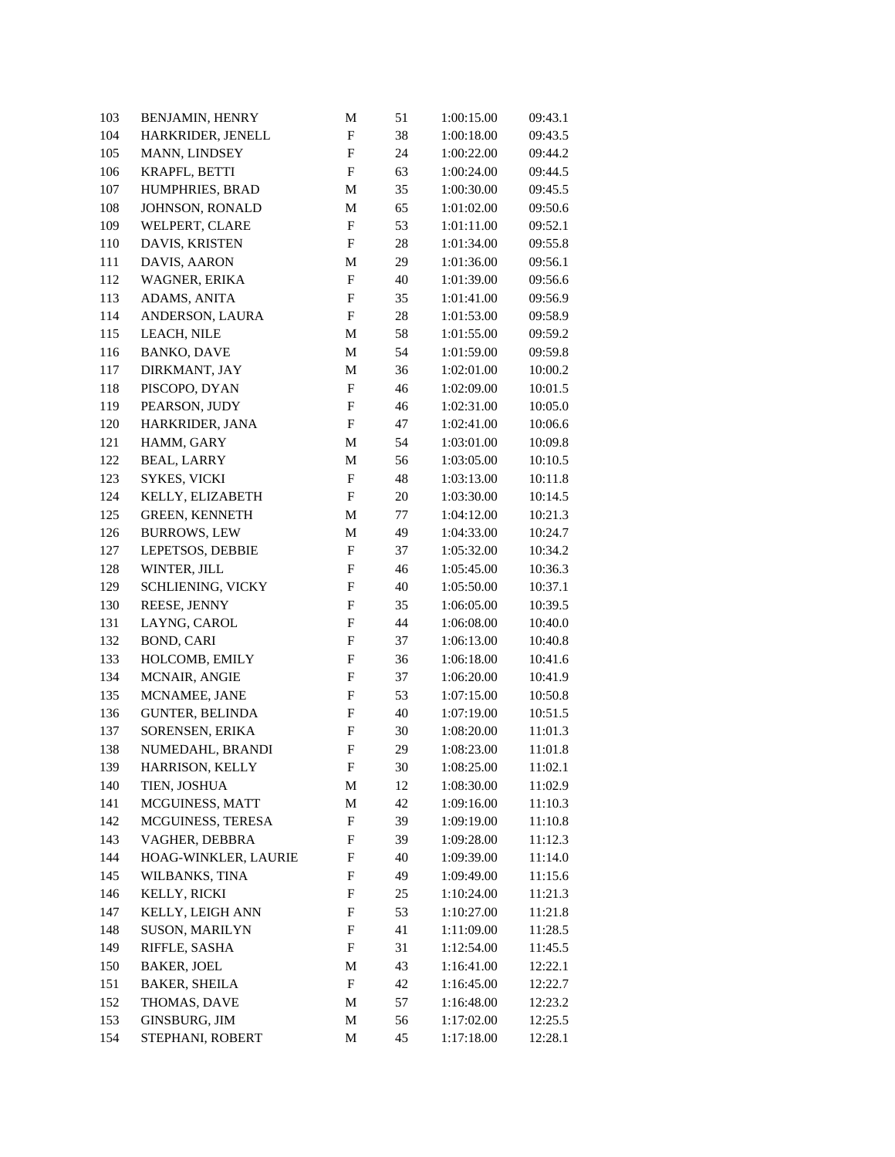| 103     | BENJAMIN, HENRY        | M                         | 51     | 1:00:15.00 | 09:43.1 |
|---------|------------------------|---------------------------|--------|------------|---------|
| 104     | HARKRIDER, JENELL      | $\boldsymbol{\mathrm{F}}$ | 38     | 1:00:18.00 | 09:43.5 |
| 105     | MANN, LINDSEY          | $\boldsymbol{\mathrm{F}}$ | 24     | 1:00:22.00 | 09:44.2 |
| 106     | KRAPFL, BETTI          | $\boldsymbol{\mathrm{F}}$ | 63     | 1:00:24.00 | 09:44.5 |
| 107     | HUMPHRIES, BRAD        | M                         | 35     | 1:00:30.00 | 09:45.5 |
| $108\,$ | JOHNSON, RONALD        | M                         | 65     | 1:01:02.00 | 09:50.6 |
| 109     | WELPERT, CLARE         | $\mathbf F$               | 53     | 1:01:11.00 | 09:52.1 |
| 110     | DAVIS, KRISTEN         | F                         | 28     | 1:01:34.00 | 09:55.8 |
| 111     | DAVIS, AARON           | M                         | 29     | 1:01:36.00 | 09:56.1 |
| 112     | WAGNER, ERIKA          | $\mathbf F$               | 40     | 1:01:39.00 | 09:56.6 |
| 113     | ADAMS, ANITA           | $\mathbf F$               | 35     | 1:01:41.00 | 09:56.9 |
| 114     | ANDERSON, LAURA        | $_{\rm F}$                | 28     | 1:01:53.00 | 09:58.9 |
| 115     | LEACH, NILE            | M                         | 58     | 1:01:55.00 | 09:59.2 |
| 116     | <b>BANKO, DAVE</b>     | M                         | 54     | 1:01:59.00 | 09:59.8 |
| 117     | DIRKMANT, JAY          | M                         | 36     | 1:02:01.00 | 10:00.2 |
| 118     | PISCOPO, DYAN          | $\mathbf F$               | 46     | 1:02:09.00 | 10:01.5 |
| 119     | PEARSON, JUDY          | $\boldsymbol{\mathrm{F}}$ | 46     | 1:02:31.00 | 10:05.0 |
| 120     | HARKRIDER, JANA        | $\boldsymbol{\mathrm{F}}$ | 47     | 1:02:41.00 | 10:06.6 |
| 121     | HAMM, GARY             | M                         | 54     | 1:03:01.00 | 10:09.8 |
| 122     | <b>BEAL, LARRY</b>     | M                         | 56     | 1:03:05.00 | 10:10.5 |
| 123     | SYKES, VICKI           | ${\bf F}$                 | 48     | 1:03:13.00 | 10:11.8 |
| 124     | KELLY, ELIZABETH       | $\boldsymbol{\mathrm{F}}$ | 20     | 1:03:30.00 | 10:14.5 |
| 125     | GREEN, KENNETH         | M                         | 77     | 1:04:12.00 | 10:21.3 |
| 126     | <b>BURROWS, LEW</b>    | M                         | 49     | 1:04:33.00 | 10:24.7 |
| 127     | LEPETSOS, DEBBIE       | ${\bf F}$                 | 37     | 1:05:32.00 | 10:34.2 |
| 128     | WINTER, JILL           | $\boldsymbol{\mathrm{F}}$ | 46     | 1:05:45.00 | 10:36.3 |
| 129     | SCHLIENING, VICKY      | $\boldsymbol{\mathrm{F}}$ | 40     | 1:05:50.00 | 10:37.1 |
| 130     | REESE, JENNY           | F                         | 35     | 1:06:05.00 | 10:39.5 |
| 131     | LAYNG, CAROL           | $\boldsymbol{\mathrm{F}}$ | 44     | 1:06:08.00 | 10:40.0 |
| 132     | <b>BOND, CARI</b>      | $\boldsymbol{\mathrm{F}}$ | 37     | 1:06:13.00 | 10:40.8 |
| 133     | HOLCOMB, EMILY         | $\boldsymbol{\mathrm{F}}$ | 36     | 1:06:18.00 | 10:41.6 |
| 134     | MCNAIR, ANGIE          | $\boldsymbol{\mathrm{F}}$ | 37     | 1:06:20.00 | 10:41.9 |
| 135     | MCNAMEE, JANE          | F                         | 53     | 1:07:15.00 | 10:50.8 |
| 136     | <b>GUNTER, BELINDA</b> | $\boldsymbol{\mathrm{F}}$ | 40     | 1:07:19.00 | 10:51.5 |
| 137     | SORENSEN, ERIKA        | $\boldsymbol{\mathrm{F}}$ | 30     | 1:08:20.00 | 11:01.3 |
| 138     | NUMEDAHL, BRANDI       | $\boldsymbol{\mathrm{F}}$ | 29     | 1:08:23.00 | 11:01.8 |
| 139     | HARRISON, KELLY        | ${\bf F}$                 | $30\,$ | 1:08:25.00 | 11:02.1 |
| 140     | TIEN, JOSHUA           | М                         | 12     | 1:08:30.00 | 11:02.9 |
| 141     | MCGUINESS, MATT        | M                         | 42     | 1:09:16.00 | 11:10.3 |
| 142     | MCGUINESS, TERESA      | F                         | 39     | 1:09:19.00 | 11:10.8 |
| 143     | VAGHER, DEBBRA         | F                         | 39     | 1:09:28.00 | 11:12.3 |
| 144     | HOAG-WINKLER, LAURIE   | F                         | 40     | 1:09:39.00 | 11:14.0 |
| 145     | WILBANKS, TINA         | F                         | 49     | 1:09:49.00 | 11:15.6 |
| 146     | KELLY, RICKI           | F                         | 25     | 1:10:24.00 | 11:21.3 |
| 147     | KELLY, LEIGH ANN       | F                         | 53     | 1:10:27.00 | 11:21.8 |
| 148     | <b>SUSON, MARILYN</b>  | F                         | 41     | 1:11:09.00 | 11:28.5 |
| 149     | RIFFLE, SASHA          | F                         | 31     | 1:12:54.00 | 11:45.5 |
| 150     | <b>BAKER, JOEL</b>     | M                         | 43     | 1:16:41.00 | 12:22.1 |
| 151     | <b>BAKER, SHEILA</b>   | F                         | 42     | 1:16:45.00 | 12:22.7 |
| 152     | THOMAS, DAVE           | M                         | 57     | 1:16:48.00 | 12:23.2 |
| 153     | GINSBURG, JIM          | M                         | 56     | 1:17:02.00 | 12:25.5 |
| 154     | STEPHANI, ROBERT       | M                         | 45     | 1:17:18.00 | 12:28.1 |
|         |                        |                           |        |            |         |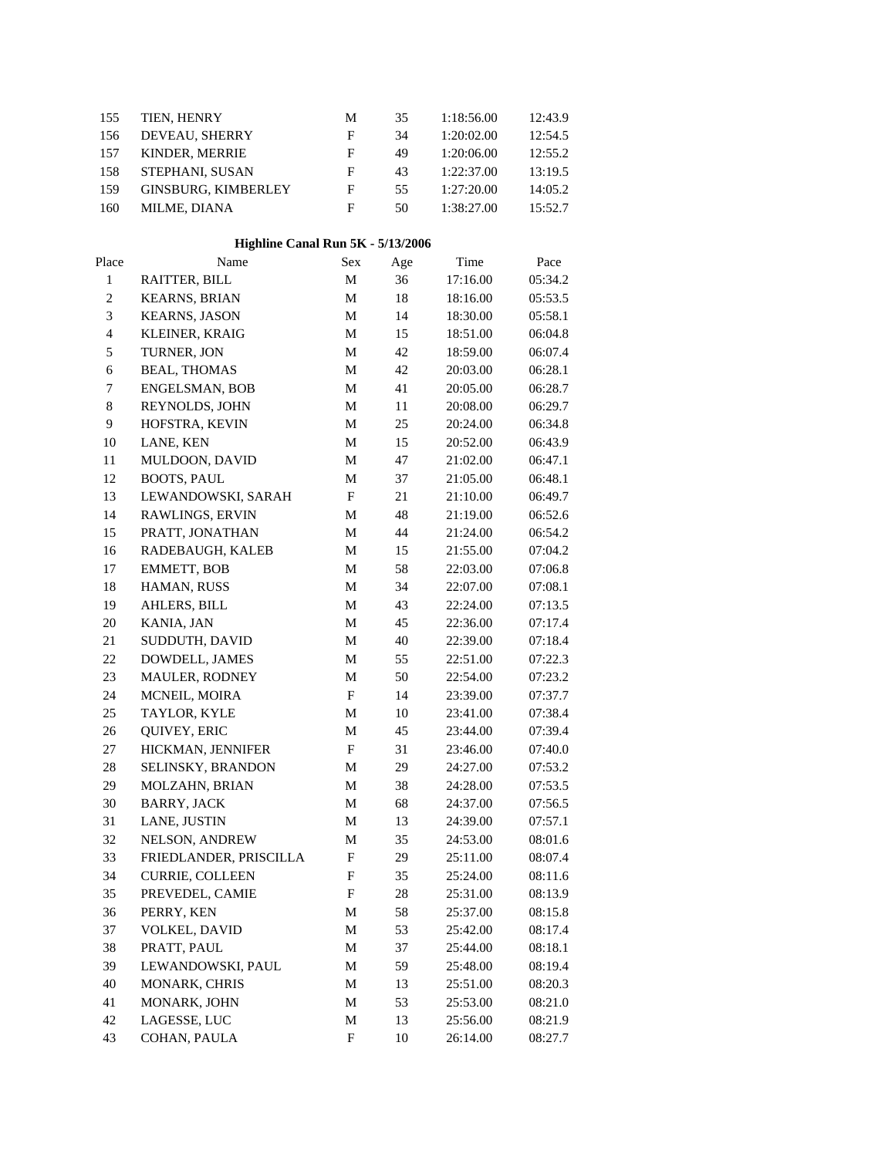| 155            | TIEN, HENRY                       | М                         | 35     | 1:18:56.00 | 12:43.9 |  |
|----------------|-----------------------------------|---------------------------|--------|------------|---------|--|
| 156            | DEVEAU, SHERRY                    | F                         | 34     | 1:20:02.00 | 12:54.5 |  |
| 157            | KINDER, MERRIE                    | ${\bf F}$                 | 49     | 1:20:06.00 | 12:55.2 |  |
| 158            | STEPHANI, SUSAN                   | $\boldsymbol{\mathrm{F}}$ | 43     | 1:22:37.00 | 13:19.5 |  |
| 159            | <b>GINSBURG, KIMBERLEY</b>        | $\boldsymbol{\mathrm{F}}$ | 55     | 1:27:20.00 | 14:05.2 |  |
| 160            | MILME, DIANA                      | $\mathbf{F}$              | 50     | 1:38:27.00 | 15:52.7 |  |
|                | Highline Canal Run 5K - 5/13/2006 |                           |        |            |         |  |
| Place          | Name                              | Sex                       | Age    | Time       | Pace    |  |
| $\,1$          | RAITTER, BILL                     | $\mathbf M$               | 36     | 17:16.00   | 05:34.2 |  |
| $\overline{c}$ | <b>KEARNS, BRIAN</b>              | $\mathbf M$               | $18\,$ | 18:16.00   | 05:53.5 |  |
| 3              | <b>KEARNS, JASON</b>              | $\mathbf M$               | 14     | 18:30.00   | 05:58.1 |  |
| $\overline{4}$ | KLEINER, KRAIG                    | М                         | 15     | 18:51.00   | 06:04.8 |  |
| 5              | TURNER, JON                       | $\mathbf M$               | 42     | 18:59.00   | 06:07.4 |  |
| 6              | <b>BEAL, THOMAS</b>               | $\mathbf M$               | 42     | 20:03.00   | 06:28.1 |  |
| 7              | <b>ENGELSMAN, BOB</b>             | M                         | 41     | 20:05.00   | 06:28.7 |  |
| $\,8\,$        | REYNOLDS, JOHN                    | $\mathbf M$               | 11     | 20:08.00   | 06:29.7 |  |
| $\mathbf{9}$   | HOFSTRA, KEVIN                    | $\mathbf M$               | 25     | 20:24.00   | 06:34.8 |  |
| $10\,$         | LANE, KEN                         | $\mathbf M$               | 15     | 20:52.00   | 06:43.9 |  |
| 11             | MULDOON, DAVID                    | М                         | 47     | 21:02.00   | 06:47.1 |  |
| 12             | <b>BOOTS, PAUL</b>                | $\mathbf M$               | 37     | 21:05.00   | 06:48.1 |  |
| 13             | LEWANDOWSKI, SARAH                | F                         | $21\,$ | 21:10.00   | 06:49.7 |  |
| 14             | RAWLINGS, ERVIN                   | М                         | 48     | 21:19.00   | 06:52.6 |  |
| 15             | PRATT, JONATHAN                   | $\mathbf M$               | 44     | 21:24.00   | 06:54.2 |  |
| 16             | RADEBAUGH, KALEB                  | $\mathbf M$               | 15     | 21:55.00   | 07:04.2 |  |
| 17             | <b>EMMETT, BOB</b>                | M                         | 58     | 22:03.00   | 07:06.8 |  |
| 18             | HAMAN, RUSS                       | M                         | 34     | 22:07.00   | 07:08.1 |  |
| 19             | AHLERS, BILL                      | $\mathbf M$               | 43     | 22:24.00   | 07:13.5 |  |
| $20\,$         | KANIA, JAN                        | $\mathbf M$               | 45     | 22:36.00   | 07:17.4 |  |
| 21             | SUDDUTH, DAVID                    | $\mathbf M$               | 40     | 22:39.00   | 07:18.4 |  |
| $22\,$         | DOWDELL, JAMES                    | М                         | 55     | 22:51.00   | 07:22.3 |  |
| 23             | MAULER, RODNEY                    | $\mathbf M$               | 50     | 22:54.00   | 07:23.2 |  |
| 24             | MCNEIL, MOIRA                     | F                         | 14     | 23:39.00   | 07:37.7 |  |
| 25             | TAYLOR, KYLE                      | M                         | 10     | 23:41.00   | 07:38.4 |  |
| 26             | QUIVEY, ERIC                      | M                         | 45     | 23:44.00   | 07:39.4 |  |
| 27             | HICKMAN, JENNIFER                 | F                         | 31     | 23:46.00   | 07:40.0 |  |
| $28\,$         | SELINSKY, BRANDON                 | $\mathbf M$               | 29     | 24:27.00   | 07:53.2 |  |
| 29             | MOLZAHN, BRIAN                    | М                         | 38     | 24:28.00   | 07:53.5 |  |
| 30             | <b>BARRY, JACK</b>                | M                         | 68     | 24:37.00   | 07:56.5 |  |

31 LANE, JUSTIN M 13 24:39.00 07:57.1 NELSON, ANDREW M 35 24:53.00 08:01.6 FRIEDLANDER, PRISCILLA F 29 25:11.00 08:07.4 CURRIE, COLLEEN F 35 25:24.00 08:11.6 PREVEDEL, CAMIE F 28 25:31.00 08:13.9 PERRY, KEN M 58 25:37.00 08:15.8 VOLKEL, DAVID M 53 25:42.00 08:17.4 PRATT, PAUL M 37 25:44.00 08:18.1 LEWANDOWSKI, PAUL M 59 25:48.00 08:19.4 MONARK, CHRIS M 13 25:51.00 08:20.3 41 MONARK, JOHN M 53 25:53.00 08:21.0 LAGESSE, LUC M 13 25:56.00 08:21.9 COHAN, PAULA F 10 26:14.00 08:27.7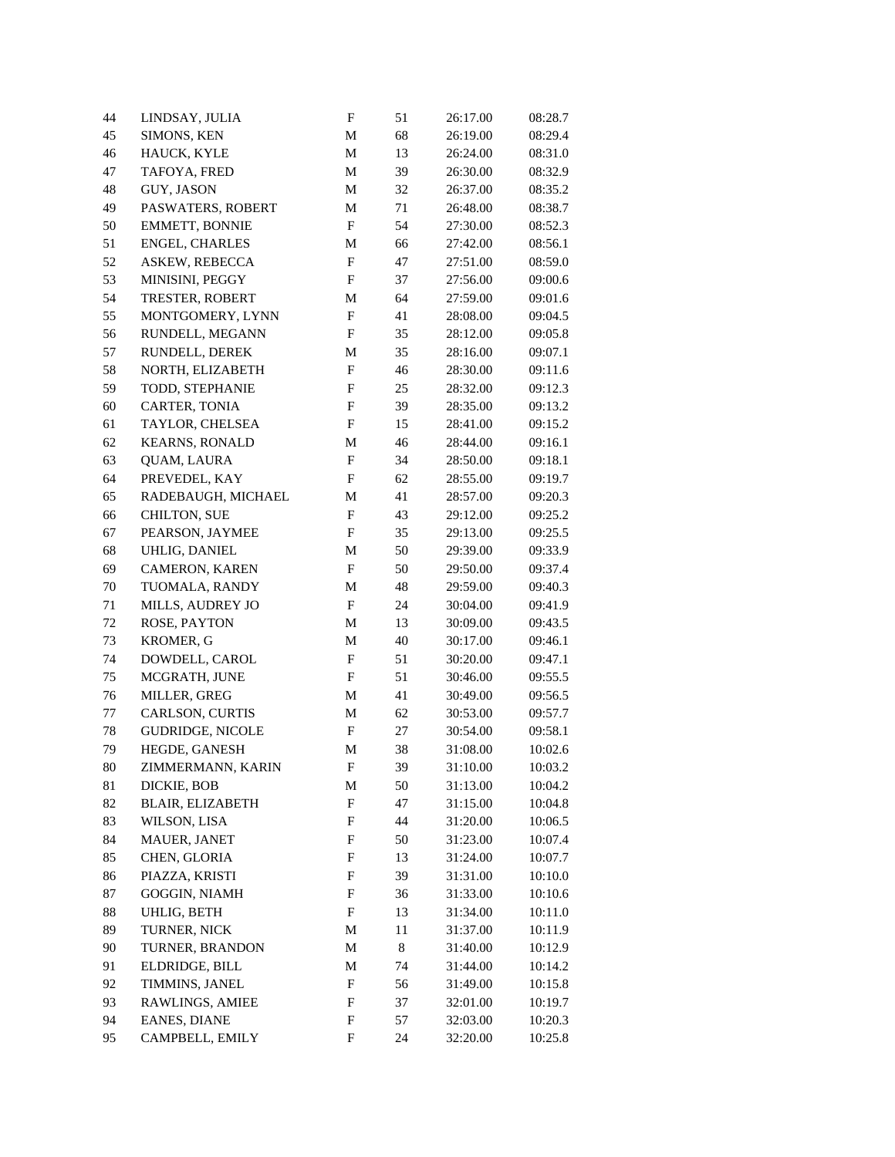| 44       | LINDSAY, JULIA            | $\mathbf F$               | 51       | 26:17.00 | 08:28.7 |
|----------|---------------------------|---------------------------|----------|----------|---------|
| 45       | SIMONS, KEN               | $\mathbf M$               | 68       | 26:19.00 | 08:29.4 |
| 46       | HAUCK, KYLE               | $\mathbf M$               | 13       | 26:24.00 | 08:31.0 |
| 47       | TAFOYA, FRED              | M                         | 39       | 26:30.00 | 08:32.9 |
| 48       | GUY, JASON                | M                         | 32       | 26:37.00 | 08:35.2 |
| 49       | PASWATERS, ROBERT         | M                         | 71       | 26:48.00 | 08:38.7 |
| 50       | EMMETT, BONNIE            | F                         | 54       | 27:30.00 | 08:52.3 |
| 51       | <b>ENGEL, CHARLES</b>     | M                         | 66       | 27:42.00 | 08:56.1 |
| 52       | ASKEW, REBECCA            | $\boldsymbol{\mathrm{F}}$ | 47       | 27:51.00 | 08:59.0 |
| 53       | MINISINI, PEGGY           | $_{\rm F}$                | 37       | 27:56.00 | 09:00.6 |
| 54       | TRESTER, ROBERT           | M                         | 64       | 27:59.00 | 09:01.6 |
| 55       | MONTGOMERY, LYNN          | $_{\rm F}$                | 41       | 28:08.00 | 09:04.5 |
| 56       | RUNDELL, MEGANN           | F                         | 35       | 28:12.00 | 09:05.8 |
| 57       | RUNDELL, DEREK            | М                         | 35       | 28:16.00 | 09:07.1 |
| 58       | NORTH, ELIZABETH          | $\boldsymbol{\mathrm{F}}$ | 46       | 28:30.00 | 09:11.6 |
| 59       | TODD, STEPHANIE           | $\boldsymbol{\mathrm{F}}$ | 25       | 28:32.00 | 09:12.3 |
| 60       | CARTER, TONIA             | $\boldsymbol{\mathrm{F}}$ | 39       | 28:35.00 | 09:13.2 |
| 61       | TAYLOR, CHELSEA           | $\boldsymbol{\mathrm{F}}$ | 15       | 28:41.00 | 09:15.2 |
| 62       | <b>KEARNS, RONALD</b>     | M                         | 46       | 28:44.00 | 09:16.1 |
| 63       | <b>QUAM, LAURA</b>        | F                         | 34       | 28:50.00 | 09:18.1 |
| 64       | PREVEDEL, KAY             | $\boldsymbol{\mathrm{F}}$ | 62       | 28:55.00 | 09:19.7 |
| 65       | RADEBAUGH, MICHAEL        | M                         | 41       | 28:57.00 | 09:20.3 |
| 66       | <b>CHILTON, SUE</b>       | F                         | 43       | 29:12.00 | 09:25.2 |
| 67       | PEARSON, JAYMEE           | F                         | 35       | 29:13.00 | 09:25.5 |
| 68       | UHLIG, DANIEL             | M                         | 50       | 29:39.00 | 09:33.9 |
| 69       | <b>CAMERON, KAREN</b>     | $\mathbf F$               | 50       | 29:50.00 | 09:37.4 |
| 70       | TUOMALA, RANDY            | M                         | 48       | 29:59.00 | 09:40.3 |
| 71       | MILLS, AUDREY JO          | F                         | 24       | 30:04.00 | 09:41.9 |
|          |                           |                           |          |          |         |
| 72<br>73 | ROSE, PAYTON<br>KROMER, G | M                         | 13<br>40 | 30:09.00 | 09:43.5 |
|          |                           | M<br>$_{\rm F}$           |          | 30:17.00 | 09:46.1 |
| 74       | DOWDELL, CAROL            |                           | 51       | 30:20.00 | 09:47.1 |
| 75       | MCGRATH, JUNE             | F                         | 51       | 30:46.00 | 09:55.5 |
| 76       | MILLER, GREG              | M                         | 41       | 30:49.00 | 09:56.5 |
| 77       | CARLSON, CURTIS           | M                         | 62       | 30:53.00 | 09:57.7 |
| 78       | GUDRIDGE, NICOLE          | $\boldsymbol{\mathrm{F}}$ | 27       | 30:54.00 | 09:58.1 |
| 79       | HEGDE, GANESH             | M                         | 38       | 31:08.00 | 10:02.6 |
| $80\,$   | ZIMMERMANN, KARIN         | ${\bf F}$                 | 39       | 31:10.00 | 10:03.2 |
| 81       | DICKIE, BOB               | М                         | 50       | 31:13.00 | 10:04.2 |
| 82       | BLAIR, ELIZABETH          | F                         | 47       | 31:15.00 | 10:04.8 |
| 83       | WILSON, LISA              | F                         | 44       | 31:20.00 | 10:06.5 |
| 84       | MAUER, JANET              | F                         | 50       | 31:23.00 | 10:07.4 |
| 85       | CHEN, GLORIA              | F                         | 13       | 31:24.00 | 10:07.7 |
| 86       | PIAZZA, KRISTI            | F                         | 39       | 31:31.00 | 10:10.0 |
| 87       | GOGGIN, NIAMH             | F                         | 36       | 31:33.00 | 10:10.6 |
| 88       | UHLIG, BETH               | F                         | 13       | 31:34.00 | 10:11.0 |
| 89       | TURNER, NICK              | M                         | 11       | 31:37.00 | 10:11.9 |
| 90       | TURNER, BRANDON           | M                         | 8        | 31:40.00 | 10:12.9 |
| 91       | ELDRIDGE, BILL            | M                         | 74       | 31:44.00 | 10:14.2 |
| 92       | TIMMINS, JANEL            | F                         | 56       | 31:49.00 | 10:15.8 |
| 93       | RAWLINGS, AMIEE           | F                         | 37       | 32:01.00 | 10:19.7 |
| 94       | EANES, DIANE              | F                         | 57       | 32:03.00 | 10:20.3 |
| 95       | CAMPBELL, EMILY           | F                         | 24       | 32:20.00 | 10:25.8 |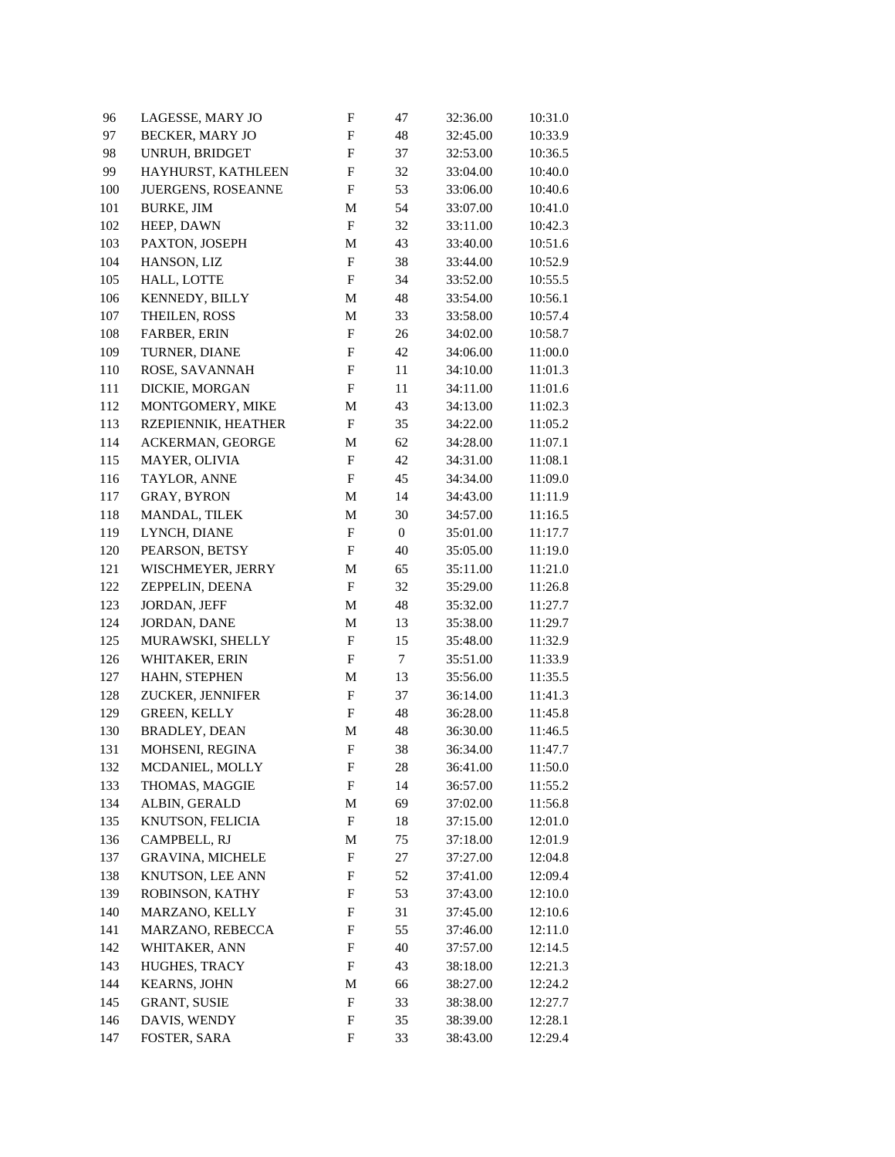| 96      | LAGESSE, MARY JO               | $\boldsymbol{\mathrm{F}}$ | 47               | 32:36.00 | 10:31.0 |
|---------|--------------------------------|---------------------------|------------------|----------|---------|
| 97      | BECKER, MARY JO                | $\boldsymbol{\mathrm{F}}$ | 48               | 32:45.00 | 10:33.9 |
| 98      | UNRUH, BRIDGET                 | $\boldsymbol{\mathrm{F}}$ | 37               | 32:53.00 | 10:36.5 |
| 99      | HAYHURST, KATHLEEN             | $\boldsymbol{\mathrm{F}}$ | 32               | 33:04.00 | 10:40.0 |
| 100     | JUERGENS, ROSEANNE             | $\mathbf F$               | 53               | 33:06.00 | 10:40.6 |
| 101     | <b>BURKE, JIM</b>              | M                         | 54               | 33:07.00 | 10:41.0 |
| 102     | HEEP, DAWN                     | $\mathbf F$               | 32               | 33:11.00 | 10:42.3 |
| 103     | PAXTON, JOSEPH                 | M                         | 43               | 33:40.00 | 10:51.6 |
| 104     | HANSON, LIZ                    | $\mathbf F$               | 38               | 33:44.00 | 10:52.9 |
| 105     | HALL, LOTTE                    | $_{\rm F}$                | 34               | 33:52.00 | 10:55.5 |
| 106     | KENNEDY, BILLY                 | M                         | 48               | 33:54.00 | 10:56.1 |
| $107\,$ | THEILEN, ROSS                  | M                         | 33               | 33:58.00 | 10:57.4 |
| 108     | FARBER, ERIN                   | $_{\rm F}$                | 26               | 34:02.00 | 10:58.7 |
| 109     | TURNER, DIANE                  | F                         | 42               | 34:06.00 | 11:00.0 |
| 110     | ROSE, SAVANNAH                 | $\boldsymbol{\mathrm{F}}$ | 11               | 34:10.00 | 11:01.3 |
| 111     | DICKIE, MORGAN                 | $_{\rm F}$                | 11               | 34:11.00 | 11:01.6 |
| 112     | MONTGOMERY, MIKE               | M                         | 43               | 34:13.00 | 11:02.3 |
| 113     | RZEPIENNIK, HEATHER            | $\mathbf F$               | 35               | 34:22.00 | 11:05.2 |
| 114     | ACKERMAN, GEORGE               | M                         | 62               | 34:28.00 | 11:07.1 |
| 115     | MAYER, OLIVIA                  | $\boldsymbol{\mathrm{F}}$ | 42               | 34:31.00 | 11:08.1 |
| 116     | TAYLOR, ANNE                   | $\mathbf F$               | 45               | 34:34.00 | 11:09.0 |
| 117     | GRAY, BYRON                    | M                         | 14               | 34:43.00 | 11:11.9 |
| 118     | MANDAL, TILEK                  | M                         | 30               | 34:57.00 | 11:16.5 |
| 119     | LYNCH, DIANE                   | $\mathbf F$               | $\boldsymbol{0}$ | 35:01.00 | 11:17.7 |
| 120     | PEARSON, BETSY                 | $_{\rm F}$                | 40               | 35:05.00 | 11:19.0 |
| 121     | WISCHMEYER, JERRY              | M                         | 65               | 35:11.00 | 11:21.0 |
| 122     | ZEPPELIN, DEENA                | $_{\rm F}$                | 32               | 35:29.00 | 11:26.8 |
| 123     | JORDAN, JEFF                   | M                         | 48               | 35:32.00 | 11:27.7 |
| 124     | JORDAN, DANE                   | M                         | 13               | 35:38.00 | 11:29.7 |
| 125     | MURAWSKI, SHELLY               | F                         | 15               | 35:48.00 | 11:32.9 |
| 126     | WHITAKER, ERIN                 | F                         | $\tau$           | 35:51.00 | 11:33.9 |
| 127     | HAHN, STEPHEN                  | M                         | 13               | 35:56.00 | 11:35.5 |
| 128     | ZUCKER, JENNIFER               | $_{\rm F}$                | 37               | 36:14.00 | 11:41.3 |
| 129     | <b>GREEN, KELLY</b>            | ${\bf F}$                 | 48               | 36:28.00 | 11:45.8 |
| 130     | <b>BRADLEY, DEAN</b>           | M                         | 48               | 36:30.00 | 11:46.5 |
| 131     | MOHSENI, REGINA                | $\boldsymbol{\mathrm{F}}$ | 38               | 36:34.00 | 11:47.7 |
| 132     | MCDANIEL, MOLLY                | ${\bf F}$                 | $28\,$           | 36:41.00 | 11:50.0 |
| 133     | THOMAS, MAGGIE                 | F                         | 14               | 36:57.00 | 11:55.2 |
| 134     | ALBIN, GERALD                  | M                         | 69               | 37:02.00 | 11:56.8 |
| 135     | KNUTSON, FELICIA               | $\boldsymbol{F}$          | 18               | 37:15.00 | 12:01.0 |
| 136     | CAMPBELL, RJ                   | M                         | 75               | 37:18.00 | 12:01.9 |
| 137     | <b>GRAVINA, MICHELE</b>        | F                         | 27               | 37:27.00 | 12:04.8 |
| 138     | KNUTSON, LEE ANN               | F                         | 52               | 37:41.00 | 12:09.4 |
| 139     | ROBINSON, KATHY                | F                         | 53               | 37:43.00 | 12:10.0 |
| 140     | MARZANO, KELLY                 | F                         | 31               | 37:45.00 | 12:10.6 |
| 141     | MARZANO, REBECCA               | F                         | 55               | 37:46.00 | 12:11.0 |
|         |                                |                           |                  |          |         |
| 142     | WHITAKER, ANN<br>HUGHES, TRACY | F                         | 40               | 37:57.00 | 12:14.5 |
| 143     |                                | F                         | 43               | 38:18.00 | 12:21.3 |
| 144     | <b>KEARNS, JOHN</b>            | M<br>F                    | 66               | 38:27.00 | 12:24.2 |
| 145     | <b>GRANT, SUSIE</b>            |                           | 33               | 38:38.00 | 12:27.7 |
| 146     | DAVIS, WENDY                   | $\mathbf F$               | 35               | 38:39.00 | 12:28.1 |
| 147     | FOSTER, SARA                   | $\mathbf F$               | 33               | 38:43.00 | 12:29.4 |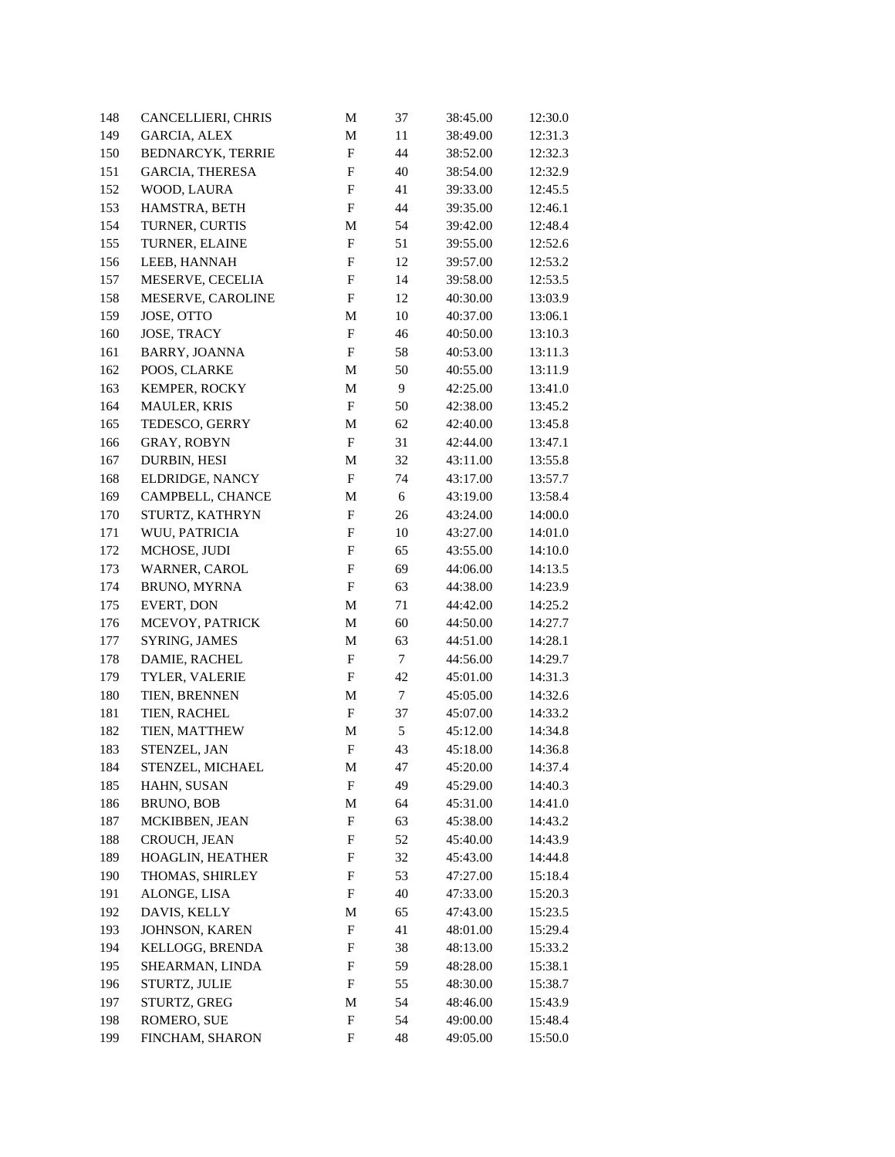| 148 | CANCELLIERI, CHRIS       | M                         | 37     | 38:45.00 | 12:30.0 |
|-----|--------------------------|---------------------------|--------|----------|---------|
| 149 | <b>GARCIA, ALEX</b>      | M                         | $11\,$ | 38:49.00 | 12:31.3 |
| 150 | <b>BEDNARCYK, TERRIE</b> | $\boldsymbol{\mathrm{F}}$ | 44     | 38:52.00 | 12:32.3 |
| 151 | <b>GARCIA, THERESA</b>   | $\boldsymbol{\mathrm{F}}$ | 40     | 38:54.00 | 12:32.9 |
| 152 | WOOD, LAURA              | $\boldsymbol{\mathrm{F}}$ | 41     | 39:33.00 | 12:45.5 |
| 153 | HAMSTRA, BETH            | $\boldsymbol{\mathrm{F}}$ | 44     | 39:35.00 | 12:46.1 |
| 154 | TURNER, CURTIS           | M                         | 54     | 39:42.00 | 12:48.4 |
| 155 | TURNER, ELAINE           | F                         | 51     | 39:55.00 | 12:52.6 |
| 156 | LEEB, HANNAH             | $\mathbf F$               | 12     | 39:57.00 | 12:53.2 |
| 157 | MESERVE, CECELIA         | $_{\rm F}$                | 14     | 39:58.00 | 12:53.5 |
| 158 | MESERVE, CAROLINE        | $_{\rm F}$                | 12     | 40:30.00 | 13:03.9 |
| 159 | JOSE, OTTO               | M                         | 10     | 40:37.00 | 13:06.1 |
| 160 | JOSE, TRACY              | $_{\rm F}$                | 46     | 40:50.00 | 13:10.3 |
| 161 | BARRY, JOANNA            | $_{\rm F}$                | 58     | 40:53.00 | 13:11.3 |
| 162 | POOS, CLARKE             | M                         | 50     | 40:55.00 | 13:11.9 |
| 163 | KEMPER, ROCKY            | M                         | 9      | 42:25.00 | 13:41.0 |
| 164 | <b>MAULER, KRIS</b>      | $\mathbf F$               | 50     | 42:38.00 | 13:45.2 |
| 165 | TEDESCO, GERRY           | M                         | 62     | 42:40.00 | 13:45.8 |
| 166 | <b>GRAY, ROBYN</b>       | $\mathbf F$               | 31     | 42:44.00 | 13:47.1 |
| 167 | DURBIN, HESI             | M                         | 32     | 43:11.00 | 13:55.8 |
| 168 | ELDRIDGE, NANCY          | $\mathbf F$               | 74     | 43:17.00 | 13:57.7 |
| 169 | CAMPBELL, CHANCE         | M                         | 6      | 43:19.00 | 13:58.4 |
| 170 | STURTZ, KATHRYN          | F                         | 26     | 43:24.00 | 14:00.0 |
| 171 | WUU, PATRICIA            | F                         | 10     | 43:27.00 | 14:01.0 |
| 172 | MCHOSE, JUDI             | ${\bf F}$                 | 65     | 43:55.00 | 14:10.0 |
| 173 | WARNER, CAROL            | $\boldsymbol{F}$          | 69     | 44:06.00 | 14:13.5 |
| 174 | BRUNO, MYRNA             | F                         | 63     | 44:38.00 | 14:23.9 |
| 175 | EVERT, DON               | M                         | 71     | 44:42.00 | 14:25.2 |
| 176 | MCEVOY, PATRICK          | $\mathbf M$               | 60     | 44:50.00 | 14:27.7 |
| 177 | SYRING, JAMES            | M                         | 63     | 44:51.00 | 14:28.1 |
| 178 | DAMIE, RACHEL            | F                         | $\tau$ | 44:56.00 | 14:29.7 |
| 179 | TYLER, VALERIE           | $_{\rm F}$                | 42     | 45:01.00 | 14:31.3 |
| 180 | TIEN, BRENNEN            | M                         | $\tau$ | 45:05.00 | 14:32.6 |
| 181 | TIEN, RACHEL             | F                         | 37     | 45:07.00 | 14:33.2 |
| 182 | TIEN, MATTHEW            | M                         | 5      | 45:12.00 | 14:34.8 |
| 183 | STENZEL, JAN             | $\boldsymbol{\mathrm{F}}$ | 43     | 45:18.00 | 14:36.8 |
| 184 | STENZEL, MICHAEL         | $\mathbf M$               | 47     | 45:20.00 | 14:37.4 |
| 185 | HAHN, SUSAN              | F                         | 49     | 45:29.00 | 14:40.3 |
| 186 | <b>BRUNO, BOB</b>        | M                         | 64     | 45:31.00 | 14:41.0 |
| 187 | MCKIBBEN, JEAN           | $\boldsymbol{F}$          | 63     | 45:38.00 | 14:43.2 |
| 188 | CROUCH, JEAN             | F                         | 52     | 45:40.00 | 14:43.9 |
| 189 | HOAGLIN, HEATHER         | F                         | 32     | 45:43.00 | 14:44.8 |
| 190 | THOMAS, SHIRLEY          | F                         | 53     | 47:27.00 | 15:18.4 |
| 191 | ALONGE, LISA             | F                         | 40     | 47:33.00 | 15:20.3 |
| 192 | DAVIS, KELLY             | M                         | 65     | 47:43.00 | 15:23.5 |
| 193 | JOHNSON, KAREN           | F                         | 41     | 48:01.00 | 15:29.4 |
| 194 | KELLOGG, BRENDA          | F                         | 38     | 48:13.00 | 15:33.2 |
| 195 | SHEARMAN, LINDA          | F                         | 59     | 48:28.00 | 15:38.1 |
| 196 | STURTZ, JULIE            | F                         | 55     | 48:30.00 | 15:38.7 |
| 197 | STURTZ, GREG             | M                         | 54     | 48:46.00 | 15:43.9 |
| 198 | ROMERO, SUE              | F                         | 54     | 49:00.00 | 15:48.4 |
| 199 | FINCHAM, SHARON          | $\mathbf F$               | 48     | 49:05.00 | 15:50.0 |
|     |                          |                           |        |          |         |